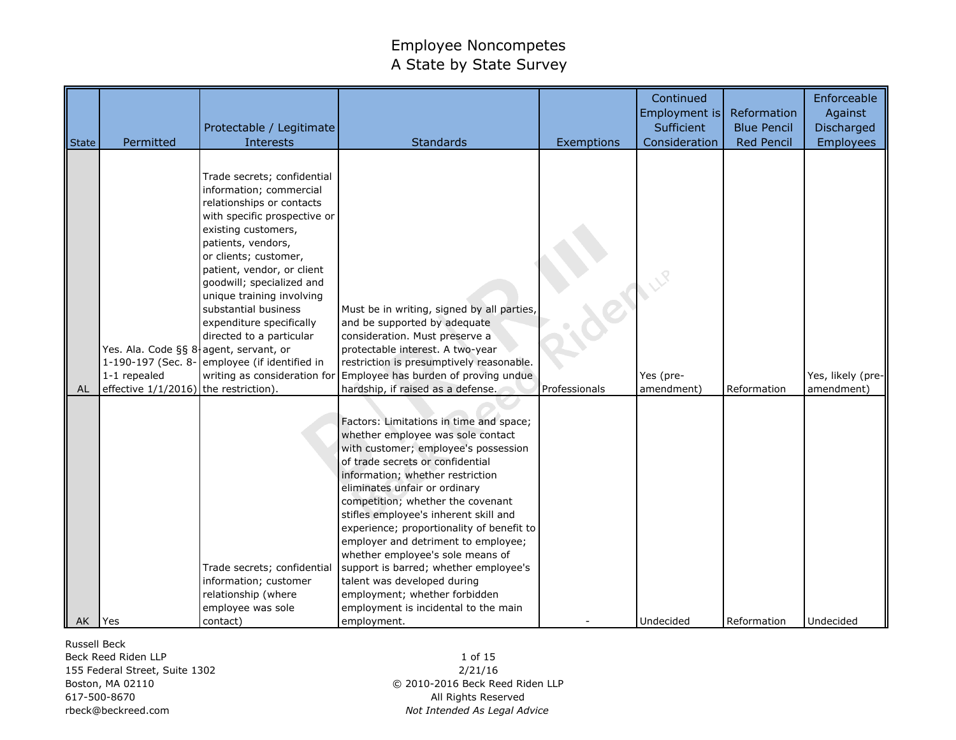| <b>State</b> | Permitted                                                                                                             | Protectable / Legitimate<br>Interests                                                                                                                                                                                                                                                                                                                                                           | <b>Standards</b>                                                                                                                                                                                                                                                                                                                                                                                                                                                                                                                                                                                    | Exemptions             | Continued<br>Employment is<br>Sufficient<br>Consideration | Reformation<br><b>Blue Pencil</b><br><b>Red Pencil</b> | Enforceable<br>Against<br>Discharged<br><b>Employees</b> |
|--------------|-----------------------------------------------------------------------------------------------------------------------|-------------------------------------------------------------------------------------------------------------------------------------------------------------------------------------------------------------------------------------------------------------------------------------------------------------------------------------------------------------------------------------------------|-----------------------------------------------------------------------------------------------------------------------------------------------------------------------------------------------------------------------------------------------------------------------------------------------------------------------------------------------------------------------------------------------------------------------------------------------------------------------------------------------------------------------------------------------------------------------------------------------------|------------------------|-----------------------------------------------------------|--------------------------------------------------------|----------------------------------------------------------|
| AL           | Yes. Ala. Code §§ 8 agent, servant, or<br>1-190-197 (Sec. 8-<br>1-1 repealed<br>effective 1/1/2016) the restriction). | Trade secrets; confidential<br>information; commercial<br>relationships or contacts<br>with specific prospective or<br>existing customers,<br>patients, vendors,<br>or clients; customer,<br>patient, vendor, or client<br>goodwill; specialized and<br>unique training involving<br>substantial business<br>expenditure specifically<br>directed to a particular<br>employee (if identified in | Must be in writing, signed by all parties,<br>and be supported by adequate<br>consideration. Must preserve a<br>protectable interest. A two-year<br>restriction is presumptively reasonable.<br>writing as consideration for Employee has burden of proving undue<br>hardship, if raised as a defense.                                                                                                                                                                                                                                                                                              | . der<br>Professionals | Yes (pre-<br>amendment)                                   | Reformation                                            | Yes, likely (pre-<br>amendment)                          |
| AK Yes       |                                                                                                                       | Trade secrets; confidential<br>information; customer<br>relationship (where<br>employee was sole<br>contact)                                                                                                                                                                                                                                                                                    | Factors: Limitations in time and space;<br>whether employee was sole contact<br>with customer; employee's possession<br>of trade secrets or confidential<br>information; whether restriction<br>eliminates unfair or ordinary<br>competition; whether the covenant<br>stifles employee's inherent skill and<br>experience; proportionality of benefit to<br>employer and detriment to employee;<br>whether employee's sole means of<br>support is barred; whether employee's<br>talent was developed during<br>employment; whether forbidden<br>employment is incidental to the main<br>employment. |                        | Undecided                                                 | Reformation                                            | Undecided                                                |

Russell Beck

Beck Reed Riden LLP 155 Federal Street, Suite 1302 Boston, MA 02110 617-500-8670 rbeck@beckreed.com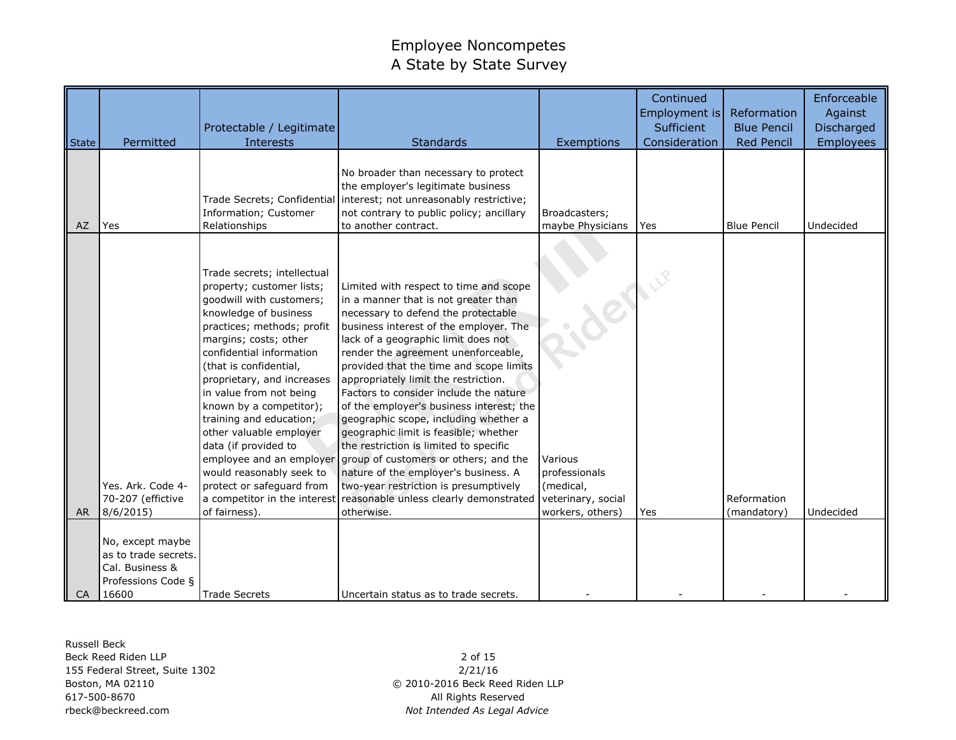|       |                                                                                            | Protectable / Legitimate                                                                                                                                                                                                                                                                                                                                                                                                                                               |                                                                                                                                                                                                                                                                                                                                                                                                                                                                                                                                                                                                                                                                                                                                                                                            |                                                                                            | Continued<br>Employment is<br>Sufficient | Reformation<br><b>Blue Pencil</b> | Enforceable<br>Against<br>Discharged |
|-------|--------------------------------------------------------------------------------------------|------------------------------------------------------------------------------------------------------------------------------------------------------------------------------------------------------------------------------------------------------------------------------------------------------------------------------------------------------------------------------------------------------------------------------------------------------------------------|--------------------------------------------------------------------------------------------------------------------------------------------------------------------------------------------------------------------------------------------------------------------------------------------------------------------------------------------------------------------------------------------------------------------------------------------------------------------------------------------------------------------------------------------------------------------------------------------------------------------------------------------------------------------------------------------------------------------------------------------------------------------------------------------|--------------------------------------------------------------------------------------------|------------------------------------------|-----------------------------------|--------------------------------------|
| State | Permitted                                                                                  | Interests                                                                                                                                                                                                                                                                                                                                                                                                                                                              | <b>Standards</b>                                                                                                                                                                                                                                                                                                                                                                                                                                                                                                                                                                                                                                                                                                                                                                           | Exemptions                                                                                 | Consideration                            | <b>Red Pencil</b>                 | <b>Employees</b>                     |
| AZ    | Yes                                                                                        | Information; Customer<br>Relationships                                                                                                                                                                                                                                                                                                                                                                                                                                 | No broader than necessary to protect<br>the employer's legitimate business<br>Trade Secrets; Confidential interest; not unreasonably restrictive;<br>not contrary to public policy; ancillary<br>to another contract.                                                                                                                                                                                                                                                                                                                                                                                                                                                                                                                                                                      | Broadcasters:<br>maybe Physicians                                                          | <b>Yes</b>                               | <b>Blue Pencil</b>                | Undecided                            |
| AR.   | Yes. Ark. Code 4-<br>70-207 (effictive<br>8/6/2015                                         | Trade secrets; intellectual<br>property; customer lists;<br>goodwill with customers;<br>knowledge of business<br>practices; methods; profit<br>margins; costs; other<br>confidential information<br>(that is confidential,<br>proprietary, and increases<br>in value from not being<br>known by a competitor);<br>training and education;<br>other valuable employer<br>data (if provided to<br>would reasonably seek to<br>protect or safeguard from<br>of fairness). | Limited with respect to time and scope<br>in a manner that is not greater than<br>necessary to defend the protectable<br>business interest of the employer. The<br>lack of a geographic limit does not<br>render the agreement unenforceable,<br>provided that the time and scope limits<br>appropriately limit the restriction.<br>Factors to consider include the nature<br>of the employer's business interest; the<br>geographic scope, including whether a<br>geographic limit is feasible; whether<br>the restriction is limited to specific<br>employee and an employer group of customers or others; and the<br>nature of the employer's business. A<br>two-year restriction is presumptively<br>a competitor in the interest reasonable unless clearly demonstrated<br>otherwise. | - Jenne<br>Various<br>professionals<br>(medical,<br>veterinary, social<br>workers, others) | Yes                                      | Reformation<br>(mandatory)        | Undecided                            |
| CA    | No, except maybe<br>as to trade secrets.<br>Cal. Business &<br>Professions Code §<br>16600 | <b>Trade Secrets</b>                                                                                                                                                                                                                                                                                                                                                                                                                                                   | Uncertain status as to trade secrets.                                                                                                                                                                                                                                                                                                                                                                                                                                                                                                                                                                                                                                                                                                                                                      |                                                                                            |                                          |                                   |                                      |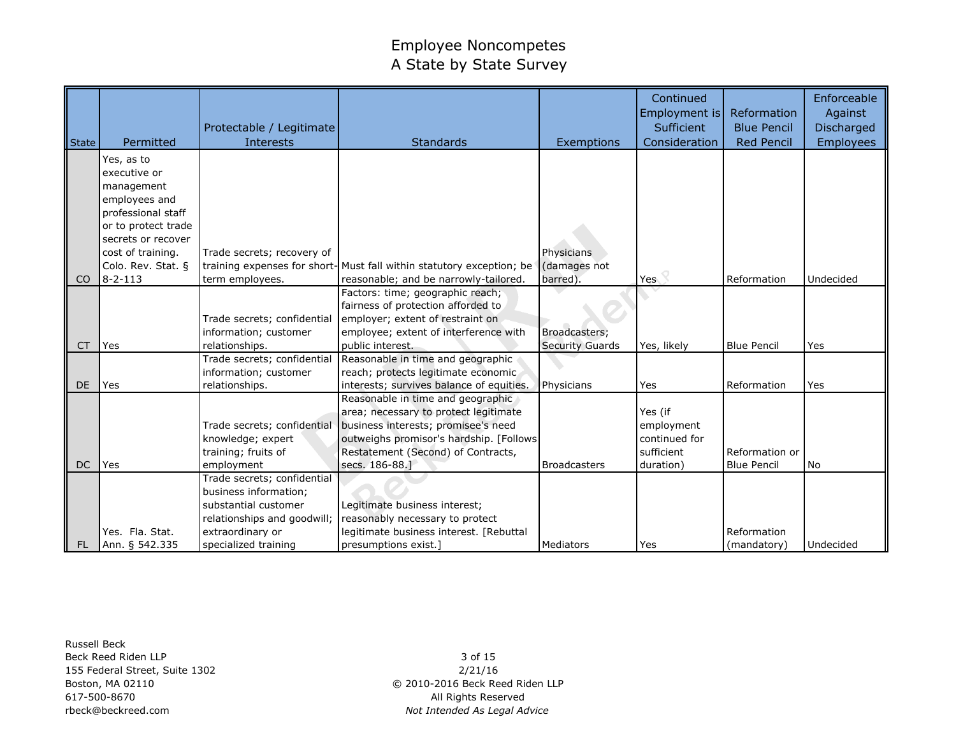|                |                     | Protectable / Legitimate                      |                                                                      |                        | Continued<br>Employment is<br>Sufficient | <b>Reformation</b><br><b>Blue Pencil</b> | Enforceable<br>Against<br>Discharged |
|----------------|---------------------|-----------------------------------------------|----------------------------------------------------------------------|------------------------|------------------------------------------|------------------------------------------|--------------------------------------|
| State          | Permitted           | Interests                                     | <b>Standards</b>                                                     | Exemptions             | Consideration                            | <b>Red Pencil</b>                        | <b>Employees</b>                     |
|                | Yes, as to          |                                               |                                                                      |                        |                                          |                                          |                                      |
|                | executive or        |                                               |                                                                      |                        |                                          |                                          |                                      |
|                | management          |                                               |                                                                      |                        |                                          |                                          |                                      |
|                | employees and       |                                               |                                                                      |                        |                                          |                                          |                                      |
|                | professional staff  |                                               |                                                                      |                        |                                          |                                          |                                      |
|                | or to protect trade |                                               |                                                                      |                        |                                          |                                          |                                      |
|                | secrets or recover  |                                               |                                                                      |                        |                                          |                                          |                                      |
|                | cost of training.   | Trade secrets; recovery of                    |                                                                      | Physicians             |                                          |                                          |                                      |
|                | Colo. Rev. Stat. §  |                                               | training expenses for short-Must fall within statutory exception; be | (damages not           |                                          |                                          |                                      |
| C <sub>O</sub> | $8 - 2 - 113$       | term employees.                               | reasonable; and be narrowly-tailored.                                | barred)                | Yes                                      | Reformation                              | Undecided                            |
|                |                     |                                               | Factors: time; geographic reach;                                     |                        |                                          |                                          |                                      |
|                |                     |                                               | fairness of protection afforded to                                   |                        |                                          |                                          |                                      |
|                |                     | Trade secrets; confidential                   | employer; extent of restraint on                                     |                        |                                          |                                          |                                      |
|                |                     | information; customer                         | employee; extent of interference with                                | Broadcasters;          |                                          |                                          |                                      |
| <b>CT</b>      | Yes                 | relationships.<br>Trade secrets; confidential | public interest.<br>Reasonable in time and geographic                | <b>Security Guards</b> | Yes, likely                              | <b>Blue Pencil</b>                       | Yes                                  |
|                |                     | information; customer                         | reach; protects legitimate economic                                  |                        |                                          |                                          |                                      |
| DE             | Yes                 | relationships.                                | interests; survives balance of equities.                             | Physicians             | Yes                                      | Reformation                              | Yes                                  |
|                |                     |                                               | Reasonable in time and geographic                                    |                        |                                          |                                          |                                      |
|                |                     |                                               | area; necessary to protect legitimate                                |                        | Yes (if                                  |                                          |                                      |
|                |                     | Trade secrets; confidential                   | business interests; promisee's need                                  |                        | employment                               |                                          |                                      |
|                |                     | knowledge; expert                             | outweighs promisor's hardship. [Follows                              |                        | continued for                            |                                          |                                      |
|                |                     | training; fruits of                           | Restatement (Second) of Contracts,                                   |                        | sufficient                               | Reformation or                           |                                      |
| <b>DC</b>      | Yes                 | employment                                    | secs. 186-88.                                                        | <b>Broadcasters</b>    | duration)                                | <b>Blue Pencil</b>                       | <b>No</b>                            |
|                |                     | Trade secrets; confidential                   |                                                                      |                        |                                          |                                          |                                      |
|                |                     | business information;                         |                                                                      |                        |                                          |                                          |                                      |
|                |                     | substantial customer                          | Legitimate business interest;                                        |                        |                                          |                                          |                                      |
|                |                     | relationships and goodwill;                   | reasonably necessary to protect                                      |                        |                                          |                                          |                                      |
|                | Yes. Fla. Stat.     | extraordinary or                              | legitimate business interest. [Rebuttal                              |                        |                                          | Reformation                              |                                      |
| <b>FL</b>      | Ann. § 542.335      | specialized training                          | presumptions exist.]                                                 | Mediators              | Yes                                      | (mandatory)                              | Undecided                            |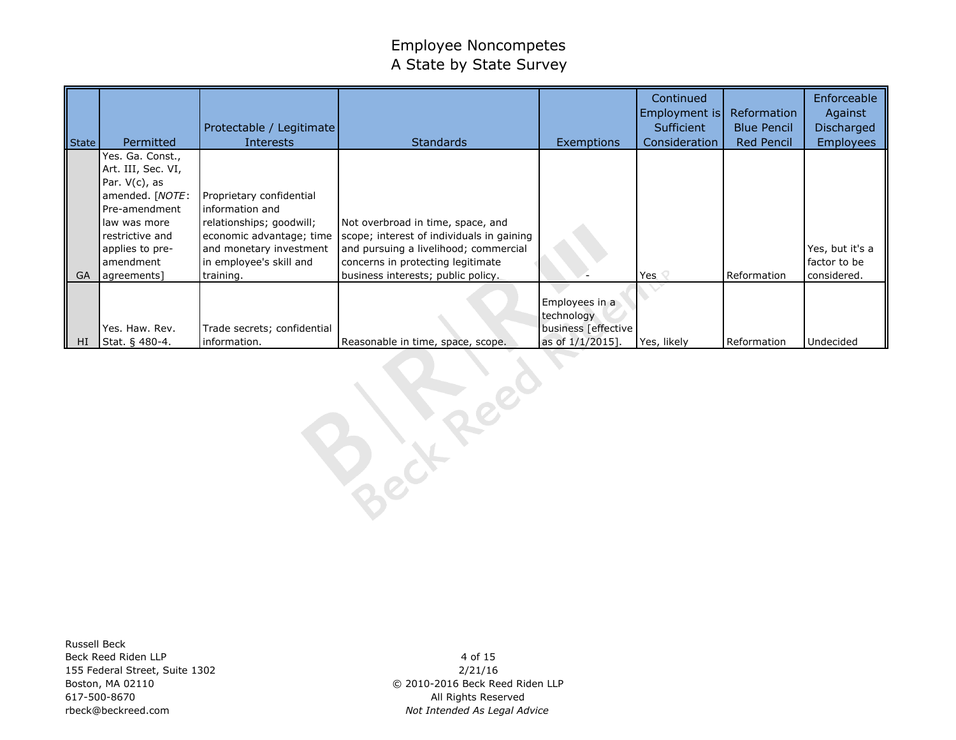| State    | Permitted                                                                                                                                                         | Protectable / Legitimate<br><b>Interests</b>                                                                                                              | <b>Standards</b>                                                                                                                                             | <b>Exemptions</b>                                                         | Continued<br>Employment is<br>Sufficient<br>Consideration | <b>Reformation</b><br><b>Blue Pencil</b><br>Red Pencil | Enforceable<br>Against<br>Discharged<br><b>Employees</b> |
|----------|-------------------------------------------------------------------------------------------------------------------------------------------------------------------|-----------------------------------------------------------------------------------------------------------------------------------------------------------|--------------------------------------------------------------------------------------------------------------------------------------------------------------|---------------------------------------------------------------------------|-----------------------------------------------------------|--------------------------------------------------------|----------------------------------------------------------|
|          | Yes. Ga. Const.,<br>Art. III, Sec. VI,<br>Par. $V(c)$ , as<br>amended. [NOTE:<br>Pre-amendment<br>law was more<br>restrictive and<br>applies to pre-<br>amendment | Proprietary confidential<br>information and<br>relationships; goodwill;<br>economic advantage; time<br>and monetary investment<br>in employee's skill and | Not overbroad in time, space, and<br>scope; interest of individuals in gaining<br>and pursuing a livelihood; commercial<br>concerns in protecting legitimate |                                                                           |                                                           |                                                        | Yes, but it's a<br>factor to be                          |
| GA<br>HI | agreements]<br>Yes. Haw. Rev.<br>Stat. § 480-4.                                                                                                                   | training.<br>Trade secrets; confidential<br>information.                                                                                                  | business interests; public policy.<br>Reasonable in time, space, scope.                                                                                      | Employees in a<br>technology<br>business [effective<br>as of $1/1/2015$ . | Yes $\heartsuit$<br>Yes, likely                           | Reformation<br>Reformation                             | considered.<br>Undecided                                 |

Russell Beck Beck Reed Riden LLP 155 Federal Street, Suite 1302 Boston, MA 02110 617-500-8670 rbeck@beckreed.com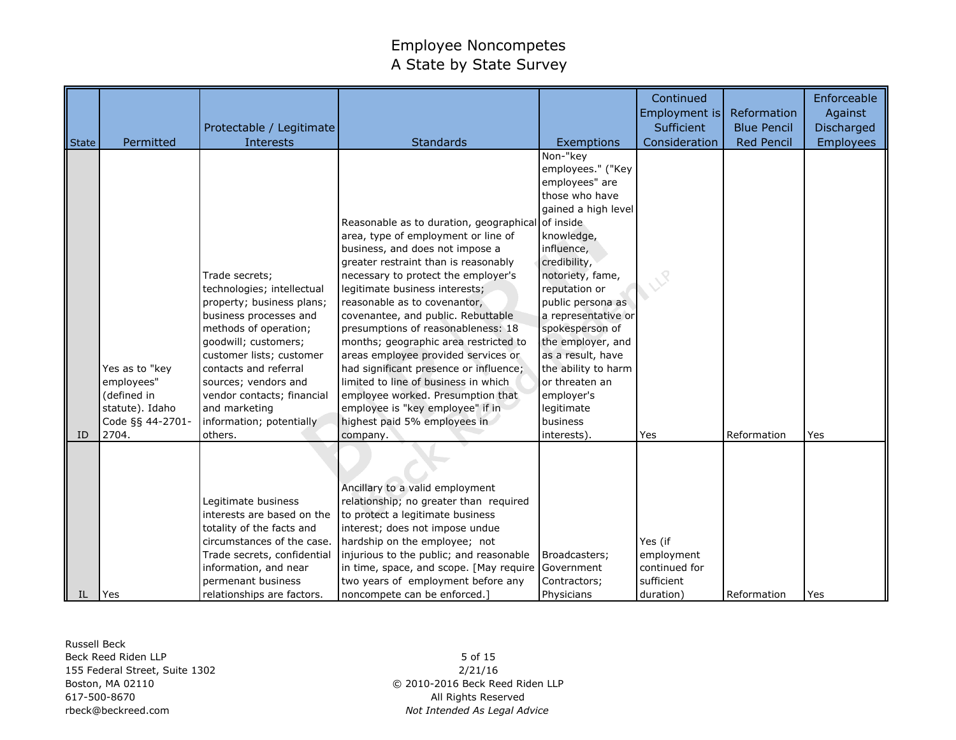| State | Permitted                                                                                   | Protectable / Legitimate<br><b>Interests</b>                                                                                                                                                                                                                                                                            | <b>Standards</b>                                                                                                                                                                                                                                                                                                                                                                                                                                                                                                                                                                                                                                | Exemptions                                                                                                                                                                                                                                                                                                                                                                         | Continued<br>Employment is<br>Sufficient<br>Consideration         | Reformation<br><b>Blue Pencil</b><br><b>Red Pencil</b> | Enforceable<br>Against<br>Discharged<br><b>Employees</b> |
|-------|---------------------------------------------------------------------------------------------|-------------------------------------------------------------------------------------------------------------------------------------------------------------------------------------------------------------------------------------------------------------------------------------------------------------------------|-------------------------------------------------------------------------------------------------------------------------------------------------------------------------------------------------------------------------------------------------------------------------------------------------------------------------------------------------------------------------------------------------------------------------------------------------------------------------------------------------------------------------------------------------------------------------------------------------------------------------------------------------|------------------------------------------------------------------------------------------------------------------------------------------------------------------------------------------------------------------------------------------------------------------------------------------------------------------------------------------------------------------------------------|-------------------------------------------------------------------|--------------------------------------------------------|----------------------------------------------------------|
| ID    | Yes as to "key<br>employees"<br>(defined in<br>statute). Idaho<br>Code §§ 44-2701-<br>2704. | Trade secrets;<br>technologies; intellectual<br>property; business plans;<br>business processes and<br>methods of operation;<br>goodwill; customers;<br>customer lists; customer<br>contacts and referral<br>sources; vendors and<br>vendor contacts; financial<br>and marketing<br>information; potentially<br>others. | Reasonable as to duration, geographical of inside<br>area, type of employment or line of<br>business, and does not impose a<br>greater restraint than is reasonably<br>necessary to protect the employer's<br>legitimate business interests;<br>reasonable as to covenantor,<br>covenantee, and public. Rebuttable<br>presumptions of reasonableness: 18<br>months; geographic area restricted to<br>areas employee provided services or<br>had significant presence or influence;<br>limited to line of business in which<br>employee worked. Presumption that<br>employee is "key employee" if in<br>highest paid 5% employees in<br>company. | Non-"key<br>employees." ("Key<br>employees" are<br>those who have<br>gained a high level<br>knowledge,<br>influence,<br>credibility,<br>notoriety, fame,<br>reputation or<br>public persona as<br>a representative or<br>spokesperson of<br>the employer, and<br>as a result, have<br>the ability to harm<br>or threaten an<br>employer's<br>legitimate<br>business<br>interests). | Yes                                                               | Reformation                                            | Yes                                                      |
| IL.   | Yes                                                                                         | Legitimate business<br>interests are based on the<br>totality of the facts and<br>circumstances of the case.<br>Trade secrets, confidential<br>information, and near<br>permenant business<br>relationships are factors.                                                                                                | Ancillary to a valid employment<br>relationship; no greater than required<br>to protect a legitimate business<br>interest; does not impose undue<br>hardship on the employee; not<br>injurious to the public; and reasonable<br>in time, space, and scope. [May require ]<br>two years of employment before any<br>noncompete can be enforced.]                                                                                                                                                                                                                                                                                                 | Broadcasters;<br>Government<br>Contractors;<br>Physicians                                                                                                                                                                                                                                                                                                                          | Yes (if<br>employment<br>continued for<br>sufficient<br>duration) | Reformation                                            | Yes                                                      |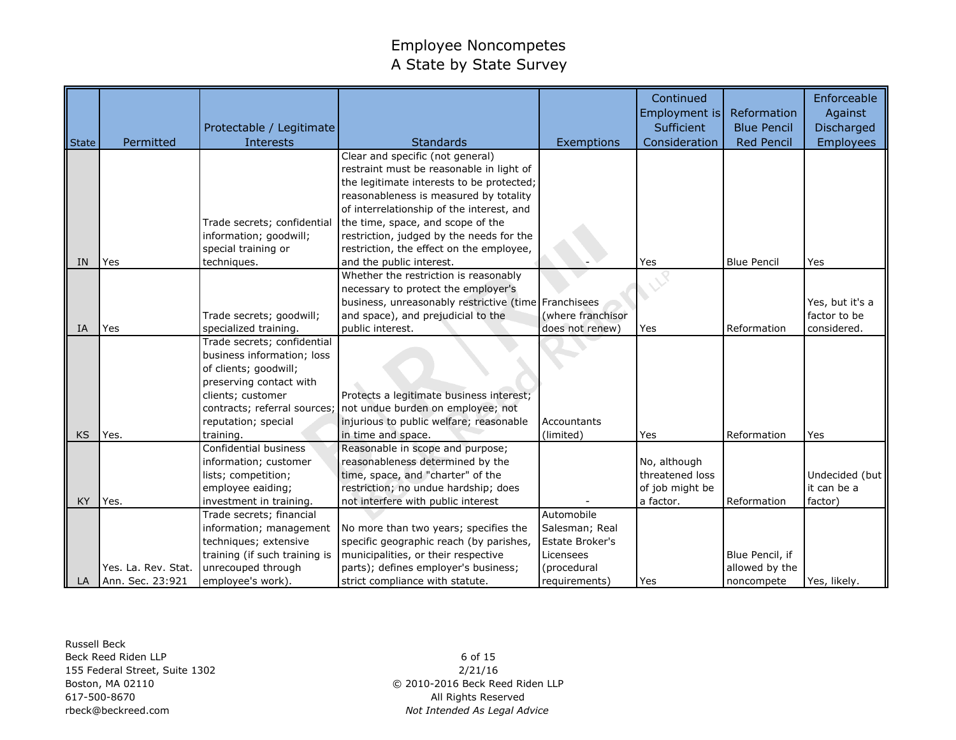|           |                     |                               |                                                                              |                   | Continued<br>Employment is | Reformation        | Enforceable<br>Against |
|-----------|---------------------|-------------------------------|------------------------------------------------------------------------------|-------------------|----------------------------|--------------------|------------------------|
|           |                     | Protectable / Legitimate      |                                                                              |                   | Sufficient                 | <b>Blue Pencil</b> | Discharged             |
| State     | Permitted           | <b>Interests</b>              | <b>Standards</b>                                                             | Exemptions        | Consideration              | <b>Red Pencil</b>  | <b>Employees</b>       |
|           |                     |                               | Clear and specific (not general)<br>restraint must be reasonable in light of |                   |                            |                    |                        |
|           |                     |                               | the legitimate interests to be protected;                                    |                   |                            |                    |                        |
|           |                     |                               | reasonableness is measured by totality                                       |                   |                            |                    |                        |
|           |                     |                               | of interrelationship of the interest, and                                    |                   |                            |                    |                        |
|           |                     | Trade secrets; confidential   | the time, space, and scope of the                                            |                   |                            |                    |                        |
|           |                     | information; goodwill;        | restriction, judged by the needs for the                                     |                   |                            |                    |                        |
|           |                     | special training or           | restriction, the effect on the employee,                                     |                   |                            |                    |                        |
| <b>IN</b> | Yes                 | techniques.                   | and the public interest.                                                     |                   | Yes                        | <b>Blue Pencil</b> | Yes                    |
|           |                     |                               | Whether the restriction is reasonably                                        |                   |                            |                    |                        |
|           |                     |                               | necessary to protect the employer's                                          |                   |                            |                    |                        |
|           |                     |                               | business, unreasonably restrictive (time Franchisees                         |                   |                            |                    | Yes, but it's a        |
|           |                     | Trade secrets; goodwill;      | and space), and prejudicial to the                                           | (where franchisor |                            |                    | factor to be           |
| IA        | Yes                 | specialized training.         | public interest.                                                             | does not renew)   | Yes                        | Reformation        | considered.            |
|           |                     | Trade secrets; confidential   |                                                                              |                   |                            |                    |                        |
|           |                     | business information; loss    |                                                                              |                   |                            |                    |                        |
|           |                     | of clients; goodwill;         |                                                                              |                   |                            |                    |                        |
|           |                     | preserving contact with       |                                                                              |                   |                            |                    |                        |
|           |                     | clients; customer             | Protects a legitimate business interest;                                     |                   |                            |                    |                        |
|           |                     | contracts; referral sources;  | not undue burden on employee; not                                            |                   |                            |                    |                        |
|           |                     | reputation; special           | injurious to public welfare; reasonable                                      | Accountants       |                            |                    |                        |
| <b>KS</b> | Yes.                | training.                     | in time and space.                                                           | (limited)         | Yes                        | Reformation        | Yes                    |
|           |                     | Confidential business         | Reasonable in scope and purpose;                                             |                   |                            |                    |                        |
|           |                     | information; customer         | reasonableness determined by the                                             |                   | No, although               |                    |                        |
|           |                     | lists; competition;           | time, space, and "charter" of the                                            |                   | threatened loss            |                    | Undecided (but         |
|           |                     | employee eaiding;             | restriction; no undue hardship; does                                         |                   | of job might be            |                    | it can be a            |
| <b>KY</b> | Yes.                | investment in training.       | not interfere with public interest                                           |                   | a factor.                  | Reformation        | factor)                |
|           |                     | Trade secrets; financial      |                                                                              | Automobile        |                            |                    |                        |
|           |                     | information; management       | No more than two years; specifies the                                        | Salesman; Real    |                            |                    |                        |
|           |                     | techniques; extensive         | specific geographic reach (by parishes,                                      | Estate Broker's   |                            |                    |                        |
|           |                     | training (if such training is | municipalities, or their respective                                          | Licensees         |                            | Blue Pencil, if    |                        |
|           | Yes. La. Rev. Stat. | unrecouped through            | parts); defines employer's business;                                         | (procedural       |                            | allowed by the     |                        |
| LA I      | Ann. Sec. 23:921    | employee's work).             | strict compliance with statute.                                              | requirements)     | Yes                        | noncompete         | Yes, likely.           |

Russell Beck Beck Reed Riden LLP 155 Federal Street, Suite 1302 Boston, MA 02110 617-500-8670 rbeck@beckreed.com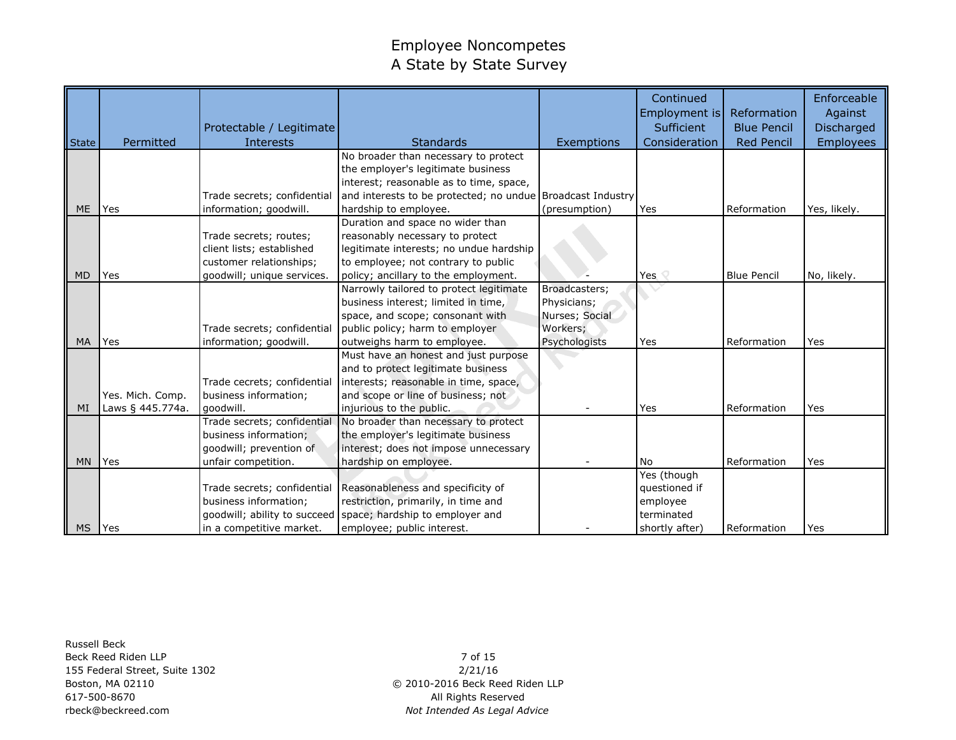|              |                  |                              |                                                            |                | Continued<br>Employment is | Reformation        | Enforceable<br>Against |
|--------------|------------------|------------------------------|------------------------------------------------------------|----------------|----------------------------|--------------------|------------------------|
|              |                  | Protectable / Legitimate     |                                                            |                | Sufficient                 | <b>Blue Pencil</b> | Discharged             |
| <b>State</b> | Permitted        | <b>Interests</b>             | Standards                                                  | Exemptions     | Consideration              | <b>Red Pencil</b>  | <b>Employees</b>       |
|              |                  |                              | No broader than necessary to protect                       |                |                            |                    |                        |
|              |                  |                              | the employer's legitimate business                         |                |                            |                    |                        |
|              |                  |                              | interest; reasonable as to time, space,                    |                |                            |                    |                        |
|              |                  | Trade secrets; confidential  | and interests to be protected; no undue Broadcast Industry |                |                            |                    |                        |
| <b>ME</b>    | Yes              | information; goodwill.       | hardship to employee.                                      | (presumption)  | Yes                        | Reformation        | Yes, likely.           |
|              |                  |                              | Duration and space no wider than                           |                |                            |                    |                        |
|              |                  | Trade secrets; routes;       | reasonably necessary to protect                            |                |                            |                    |                        |
|              |                  | client lists; established    | legitimate interests; no undue hardship                    |                |                            |                    |                        |
|              |                  | customer relationships;      | to employee; not contrary to public                        |                |                            |                    |                        |
| <b>MD</b>    | Yes              | goodwill; unique services.   | policy; ancillary to the employment.                       |                | Yes $\heartsuit$           | <b>Blue Pencil</b> | No, likely.            |
|              |                  |                              | Narrowly tailored to protect legitimate                    | Broadcasters;  |                            |                    |                        |
|              |                  |                              | business interest; limited in time,                        | Physicians;    |                            |                    |                        |
|              |                  |                              | space, and scope; consonant with                           | Nurses; Social |                            |                    |                        |
|              |                  | Trade secrets; confidential  | public policy; harm to employer                            | Workers;       |                            |                    |                        |
| MA           | Yes              | information; goodwill.       | outweighs harm to employee.                                | Psychologists  | Yes                        | Reformation        | Yes                    |
|              |                  |                              | Must have an honest and just purpose                       |                |                            |                    |                        |
|              |                  |                              | and to protect legitimate business                         |                |                            |                    |                        |
|              |                  | Trade cecrets; confidential  | interests; reasonable in time, space,                      |                |                            |                    |                        |
|              | Yes. Mich. Comp. | business information;        | and scope or line of business; not                         |                |                            |                    |                        |
| MI           | Laws § 445.774a. | qoodwill.                    | injurious to the public.                                   |                | Yes                        | Reformation        | Yes                    |
|              |                  | Trade secrets; confidential  | No broader than necessary to protect                       |                |                            |                    |                        |
|              |                  | business information;        | the employer's legitimate business                         |                |                            |                    |                        |
|              |                  | goodwill; prevention of      | interest; does not impose unnecessary                      |                |                            |                    |                        |
| <b>MN</b>    | <b>Yes</b>       | unfair competition.          | hardship on employee.                                      |                | N <sub>o</sub>             | Reformation        | Yes                    |
|              |                  |                              |                                                            |                | Yes (though                |                    |                        |
|              |                  | Trade secrets; confidential  | Reasonableness and specificity of                          |                | questioned if              |                    |                        |
|              |                  | business information;        | restriction, primarily, in time and                        |                | employee                   |                    |                        |
|              |                  | goodwill; ability to succeed | space; hardship to employer and                            |                | terminated                 |                    |                        |
| <b>MS</b>    | Yes              | in a competitive market.     | employee; public interest.                                 |                | shortly after)             | Reformation        | Yes                    |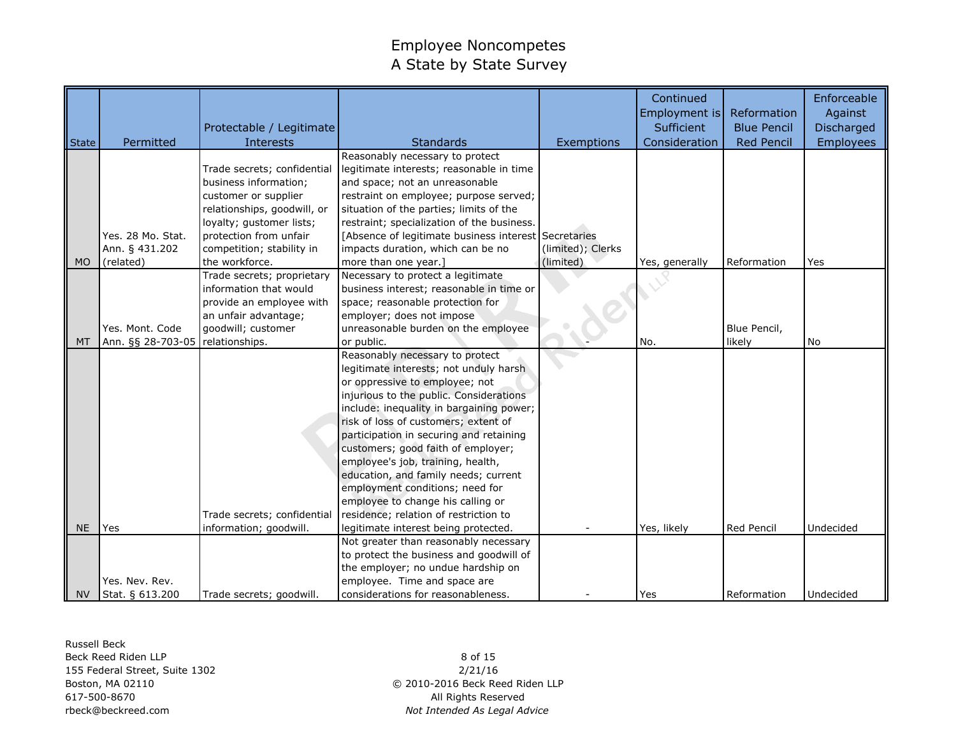|              |                   |                             |                                                      |                   | Continued<br>Employment is | Reformation        | Enforceable<br>Against |
|--------------|-------------------|-----------------------------|------------------------------------------------------|-------------------|----------------------------|--------------------|------------------------|
|              |                   | Protectable / Legitimate    |                                                      |                   | Sufficient                 | <b>Blue Pencil</b> | <b>Discharged</b>      |
| <b>State</b> | Permitted         | <b>Interests</b>            | <b>Standards</b>                                     | Exemptions        | Consideration              | <b>Red Pencil</b>  | <b>Employees</b>       |
|              |                   |                             | Reasonably necessary to protect                      |                   |                            |                    |                        |
|              |                   | Trade secrets; confidential | legitimate interests; reasonable in time             |                   |                            |                    |                        |
|              |                   | business information;       | and space; not an unreasonable                       |                   |                            |                    |                        |
|              |                   | customer or supplier        | restraint on employee; purpose served;               |                   |                            |                    |                        |
|              |                   | relationships, goodwill, or | situation of the parties; limits of the              |                   |                            |                    |                        |
|              |                   | loyalty; gustomer lists;    | restraint; specialization of the business.           |                   |                            |                    |                        |
|              | Yes. 28 Mo. Stat. | protection from unfair      | [Absence of legitimate business interest Secretaries |                   |                            |                    |                        |
|              | Ann. § 431.202    | competition; stability in   | impacts duration, which can be no                    | (limited); Clerks |                            |                    |                        |
| <b>MO</b>    | (related)         | the workforce.              | more than one year.]                                 | (limited)         | Yes, generally             | Reformation        | Yes                    |
|              |                   | Trade secrets; proprietary  | Necessary to protect a legitimate                    |                   |                            |                    |                        |
|              |                   | information that would      | business interest; reasonable in time or             |                   |                            |                    |                        |
|              |                   | provide an employee with    | space; reasonable protection for                     |                   |                            |                    |                        |
|              |                   | an unfair advantage;        | employer; does not impose                            |                   |                            |                    |                        |
|              | Yes. Mont. Code   | goodwill; customer          | unreasonable burden on the employee                  |                   |                            | Blue Pencil,       |                        |
| <b>MT</b>    | Ann. §§ 28-703-05 | relationships.              | or public.                                           |                   | No.                        | likely             | No                     |
|              |                   |                             | Reasonably necessary to protect                      |                   |                            |                    |                        |
|              |                   |                             | legitimate interests; not unduly harsh               |                   |                            |                    |                        |
|              |                   |                             | or oppressive to employee; not                       |                   |                            |                    |                        |
|              |                   |                             | injurious to the public. Considerations              |                   |                            |                    |                        |
|              |                   |                             | include: inequality in bargaining power;             |                   |                            |                    |                        |
|              |                   |                             | risk of loss of customers; extent of                 |                   |                            |                    |                        |
|              |                   |                             | participation in securing and retaining              |                   |                            |                    |                        |
|              |                   |                             | customers; good faith of employer;                   |                   |                            |                    |                        |
|              |                   |                             | employee's job, training, health,                    |                   |                            |                    |                        |
|              |                   |                             | education, and family needs; current                 |                   |                            |                    |                        |
|              |                   |                             | employment conditions; need for                      |                   |                            |                    |                        |
|              |                   |                             | employee to change his calling or                    |                   |                            |                    |                        |
|              |                   | Trade secrets; confidential | residence; relation of restriction to                |                   |                            |                    |                        |
| <b>NE</b>    | Yes               | information; goodwill.      | legitimate interest being protected.                 |                   | Yes, likely                | Red Pencil         | Undecided              |
|              |                   |                             | Not greater than reasonably necessary                |                   |                            |                    |                        |
|              |                   |                             | to protect the business and goodwill of              |                   |                            |                    |                        |
|              |                   |                             | the employer; no undue hardship on                   |                   |                            |                    |                        |
|              | Yes. Nev. Rev.    |                             | employee. Time and space are                         |                   |                            |                    |                        |
| <b>NV</b>    | Stat. § 613.200   | Trade secrets; goodwill.    | considerations for reasonableness.                   |                   | Yes                        | Reformation        | Undecided              |

Russell Beck Beck Reed Riden LLP 155 Federal Street, Suite 1302 Boston, MA 02110 617-500-8670 rbeck@beckreed.com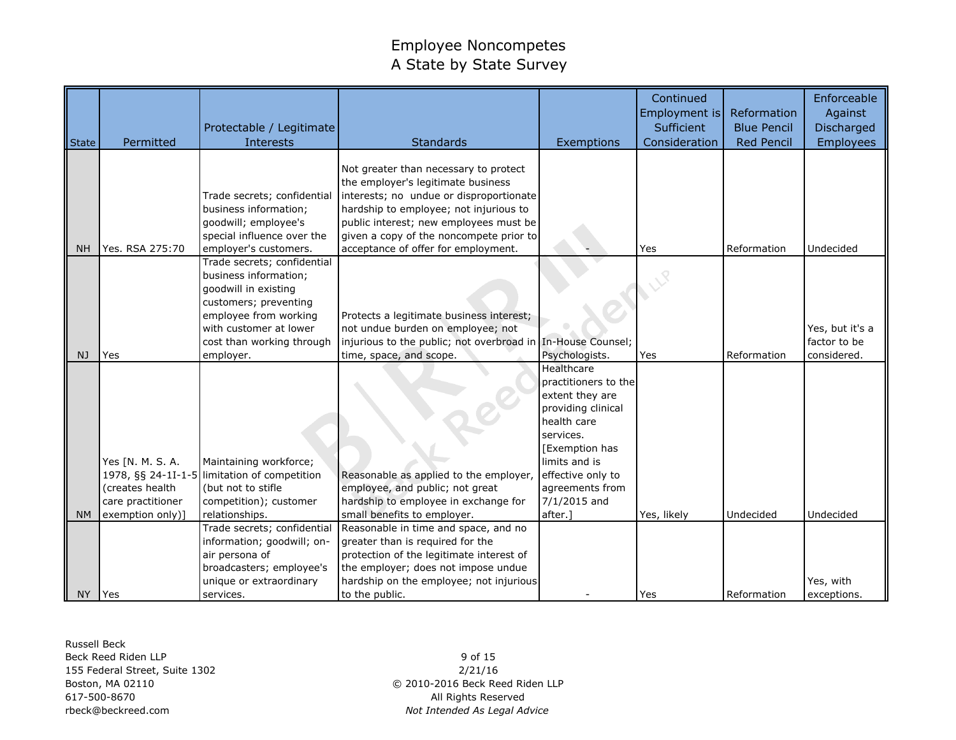|           |                    | Protectable / Legitimate                             |                                                                                                                                                                  |                                       | Continued<br>Employment is<br>Sufficient | Reformation<br><b>Blue Pencil</b> | Enforceable<br>Against<br>Discharged |
|-----------|--------------------|------------------------------------------------------|------------------------------------------------------------------------------------------------------------------------------------------------------------------|---------------------------------------|------------------------------------------|-----------------------------------|--------------------------------------|
| State     | Permitted          | <b>Interests</b>                                     | <b>Standards</b>                                                                                                                                                 | Exemptions                            | Consideration                            | <b>Red Pencil</b>                 | <b>Employees</b>                     |
|           |                    | Trade secrets; confidential<br>business information; | Not greater than necessary to protect<br>the employer's legitimate business<br>interests; no undue or disproportionate<br>hardship to employee; not injurious to |                                       |                                          |                                   |                                      |
|           |                    | goodwill; employee's                                 | public interest; new employees must be                                                                                                                           |                                       |                                          |                                   |                                      |
|           |                    | special influence over the                           | given a copy of the noncompete prior to                                                                                                                          |                                       |                                          |                                   |                                      |
| <b>NH</b> | Yes. RSA 275:70    | employer's customers.<br>Trade secrets; confidential | acceptance of offer for employment.                                                                                                                              |                                       | Yes                                      | Reformation                       | Undecided                            |
|           |                    | business information;                                |                                                                                                                                                                  |                                       |                                          |                                   |                                      |
|           |                    | goodwill in existing                                 |                                                                                                                                                                  |                                       |                                          |                                   |                                      |
|           |                    | customers; preventing                                |                                                                                                                                                                  |                                       |                                          |                                   |                                      |
|           |                    | employee from working                                | Protects a legitimate business interest;                                                                                                                         |                                       |                                          |                                   |                                      |
|           |                    | with customer at lower                               | not undue burden on employee; not                                                                                                                                |                                       |                                          |                                   | Yes, but it's a                      |
|           |                    | cost than working through                            | injurious to the public; not overbroad in In-House Counsel;                                                                                                      |                                       |                                          |                                   | factor to be                         |
| NJ        | Yes                | employer.                                            | time, space, and scope.                                                                                                                                          | Psychologists.                        | Yes                                      | Reformation                       | considered.                          |
|           |                    |                                                      |                                                                                                                                                                  | Healthcare                            |                                          |                                   |                                      |
|           |                    |                                                      |                                                                                                                                                                  | practitioners to the                  |                                          |                                   |                                      |
|           |                    |                                                      |                                                                                                                                                                  | extent they are<br>providing clinical |                                          |                                   |                                      |
|           |                    |                                                      |                                                                                                                                                                  | health care                           |                                          |                                   |                                      |
|           |                    |                                                      |                                                                                                                                                                  | services.                             |                                          |                                   |                                      |
|           |                    |                                                      |                                                                                                                                                                  | [Exemption has                        |                                          |                                   |                                      |
|           | Yes [N. M. S. A.   | Maintaining workforce;                               |                                                                                                                                                                  | limits and is                         |                                          |                                   |                                      |
|           | 1978, §§ 24-1I-1-5 | limitation of competition                            | Reasonable as applied to the employer,                                                                                                                           | effective only to                     |                                          |                                   |                                      |
|           | (creates health    | (but not to stifle                                   | employee, and public; not great                                                                                                                                  | agreements from                       |                                          |                                   |                                      |
|           | care practitioner  | competition); customer                               | hardship to employee in exchange for                                                                                                                             | 7/1/2015 and                          |                                          |                                   |                                      |
| <b>NM</b> | exemption only)]   | relationships.                                       | small benefits to employer.                                                                                                                                      | after.]                               | Yes, likely                              | Undecided                         | Undecided                            |
|           |                    | Trade secrets; confidential                          | Reasonable in time and space, and no                                                                                                                             |                                       |                                          |                                   |                                      |
|           |                    | information; goodwill; on-                           | greater than is required for the                                                                                                                                 |                                       |                                          |                                   |                                      |
|           |                    | air persona of                                       | protection of the legitimate interest of<br>the employer; does not impose undue                                                                                  |                                       |                                          |                                   |                                      |
|           |                    | broadcasters; employee's<br>unique or extraordinary  | hardship on the employee; not injurious                                                                                                                          |                                       |                                          |                                   | Yes, with                            |
| <b>NY</b> | Yes                | services.                                            | to the public.                                                                                                                                                   |                                       | Yes                                      | Reformation                       | exceptions.                          |

Russell Beck Beck Reed Riden LLP 155 Federal Street, Suite 1302 Boston, MA 02110 617-500-8670 rbeck@beckreed.com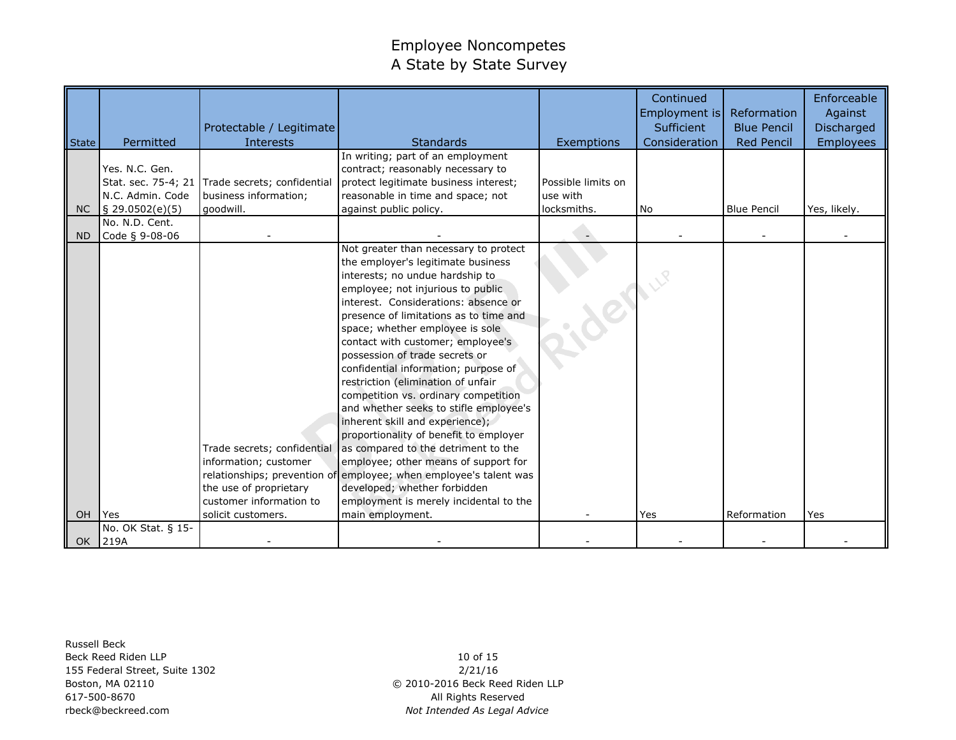|           |                             | Protectable / Legitimate    |                                                                   |                    | Continued<br>Employment is<br>Sufficient | Reformation<br><b>Blue Pencil</b> | Enforceable<br>Against<br>Discharged |
|-----------|-----------------------------|-----------------------------|-------------------------------------------------------------------|--------------------|------------------------------------------|-----------------------------------|--------------------------------------|
| State     | Permitted                   | Interests                   | <b>Standards</b>                                                  | Exemptions         | Consideration                            | <b>Red Pencil</b>                 | <b>Employees</b>                     |
|           |                             |                             | In writing; part of an employment                                 |                    |                                          |                                   |                                      |
|           | Yes. N.C. Gen.              |                             | contract; reasonably necessary to                                 |                    |                                          |                                   |                                      |
|           | Stat. sec. 75-4; 21         | Trade secrets; confidential | protect legitimate business interest;                             | Possible limits on |                                          |                                   |                                      |
|           | N.C. Admin. Code            | business information;       | reasonable in time and space; not                                 | use with           |                                          |                                   |                                      |
| <b>NC</b> | $\frac{1}{2}$ 29.0502(e)(5) | goodwill.                   | against public policy.                                            | locksmiths.        | <b>No</b>                                | <b>Blue Pencil</b>                | Yes, likely.                         |
|           | No. N.D. Cent.              |                             |                                                                   |                    |                                          |                                   |                                      |
| ND.       | Code § 9-08-06              |                             | Not greater than necessary to protect                             |                    |                                          |                                   |                                      |
|           |                             |                             | the employer's legitimate business                                |                    |                                          |                                   |                                      |
|           |                             |                             | interests; no undue hardship to                                   |                    |                                          |                                   |                                      |
|           |                             |                             | employee; not injurious to public.                                |                    |                                          |                                   |                                      |
|           |                             |                             | interest. Considerations: absence or                              |                    |                                          |                                   |                                      |
|           |                             |                             | presence of limitations as to time and                            |                    |                                          |                                   |                                      |
|           |                             |                             | space; whether employee is sole                                   |                    |                                          |                                   |                                      |
|           |                             |                             | contact with customer; employee's                                 |                    |                                          |                                   |                                      |
|           |                             |                             | possession of trade secrets or                                    |                    |                                          |                                   |                                      |
|           |                             |                             | confidential information; purpose of                              |                    |                                          |                                   |                                      |
|           |                             |                             | restriction (elimination of unfair                                |                    |                                          |                                   |                                      |
|           |                             |                             | competition vs. ordinary competition                              |                    |                                          |                                   |                                      |
|           |                             |                             | and whether seeks to stifle employee's                            |                    |                                          |                                   |                                      |
|           |                             |                             | inherent skill and experience);                                   |                    |                                          |                                   |                                      |
|           |                             |                             | proportionality of benefit to employer                            |                    |                                          |                                   |                                      |
|           |                             | Trade secrets; confidential | as compared to the detriment to the                               |                    |                                          |                                   |                                      |
|           |                             | information; customer       | employee; other means of support for                              |                    |                                          |                                   |                                      |
|           |                             |                             | relationships; prevention of employee; when employee's talent was |                    |                                          |                                   |                                      |
|           |                             | the use of proprietary      | developed; whether forbidden                                      |                    |                                          |                                   |                                      |
|           |                             | customer information to     | employment is merely incidental to the                            |                    |                                          |                                   |                                      |
| OH        | <b>Yes</b>                  | solicit customers.          | main employment.                                                  |                    | Yes                                      | Reformation                       | Yes                                  |
|           | No. OK Stat. § 15-          |                             |                                                                   |                    |                                          |                                   |                                      |
| OK        | 219A                        |                             |                                                                   |                    |                                          |                                   |                                      |

Russell Beck Beck Reed Riden LLP 155 Federal Street, Suite 1302 Boston, MA 02110 617-500-8670 rbeck@beckreed.com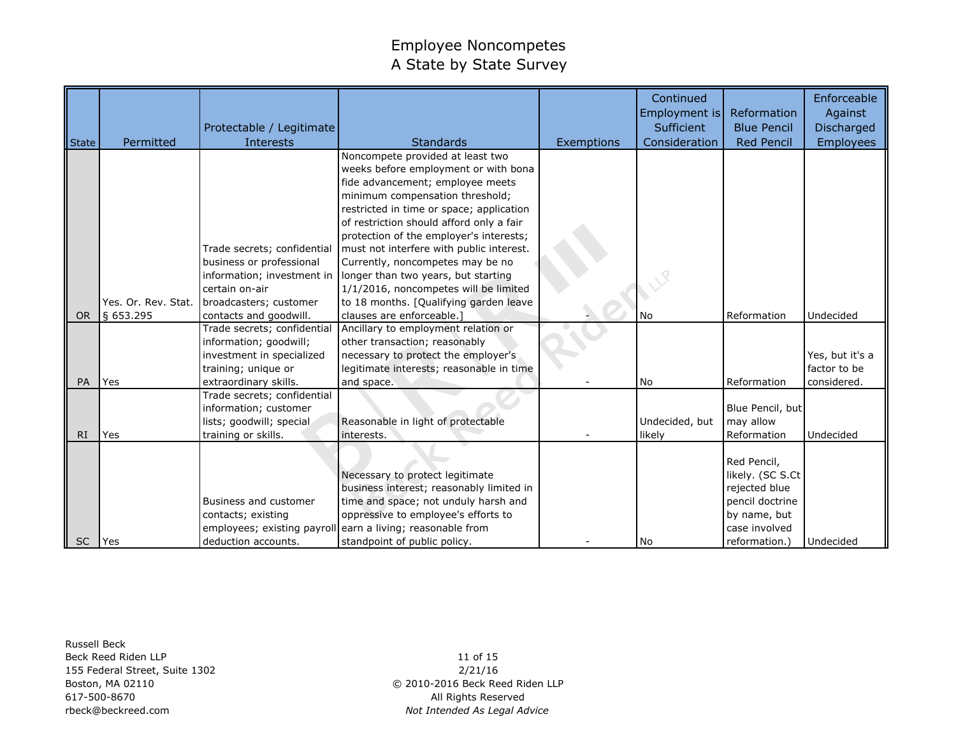|              |                     | Protectable / Legitimate                                                                                                           |                                                                                                                                                                                                                                                                                                                                                                    |            | Continued<br>Employment is<br>Sufficient | Reformation<br><b>Blue Pencil</b>                                                                                     | Enforceable<br>Against<br>Discharged           |
|--------------|---------------------|------------------------------------------------------------------------------------------------------------------------------------|--------------------------------------------------------------------------------------------------------------------------------------------------------------------------------------------------------------------------------------------------------------------------------------------------------------------------------------------------------------------|------------|------------------------------------------|-----------------------------------------------------------------------------------------------------------------------|------------------------------------------------|
| <b>State</b> | Permitted           | <b>Interests</b>                                                                                                                   | <b>Standards</b>                                                                                                                                                                                                                                                                                                                                                   | Exemptions | Consideration                            | <b>Red Pencil</b>                                                                                                     | <b>Employees</b>                               |
|              |                     | Trade secrets; confidential<br>business or professional                                                                            | Noncompete provided at least two<br>weeks before employment or with bona<br>fide advancement; employee meets<br>minimum compensation threshold;<br>restricted in time or space; application<br>of restriction should afford only a fair<br>protection of the employer's interests;<br>must not interfere with public interest.<br>Currently, noncompetes may be no |            |                                          |                                                                                                                       |                                                |
|              |                     | information; investment in                                                                                                         | longer than two years, but starting                                                                                                                                                                                                                                                                                                                                |            |                                          |                                                                                                                       |                                                |
|              |                     | certain on-air                                                                                                                     | 1/1/2016, noncompetes will be limited                                                                                                                                                                                                                                                                                                                              |            |                                          |                                                                                                                       |                                                |
|              | Yes. Or. Rev. Stat. | broadcasters; customer                                                                                                             | to 18 months. [Qualifying garden leave                                                                                                                                                                                                                                                                                                                             |            |                                          |                                                                                                                       |                                                |
| <b>OR</b>    | § 653.295           | contacts and goodwill.                                                                                                             | clauses are enforceable.                                                                                                                                                                                                                                                                                                                                           |            | <b>No</b>                                | Reformation                                                                                                           | Undecided                                      |
| PA           | Yes                 | Trade secrets; confidential<br>information; goodwill;<br>investment in specialized<br>training; unique or<br>extraordinary skills. | Ancillary to employment relation or<br>other transaction; reasonably<br>necessary to protect the employer's<br>legitimate interests; reasonable in time<br>and space.                                                                                                                                                                                              |            | N <sub>o</sub>                           | Reformation                                                                                                           | Yes, but it's a<br>factor to be<br>considered. |
| RI           | Yes                 | Trade secrets; confidential<br>information; customer<br>lists; goodwill; special<br>training or skills.                            | Reasonable in light of protectable<br>interests.                                                                                                                                                                                                                                                                                                                   |            | Undecided, but<br>likely                 | Blue Pencil, but<br>may allow<br>Reformation                                                                          | Undecided                                      |
| <b>SC</b>    | l Yes               | Business and customer<br>contacts; existing<br>deduction accounts.                                                                 | Necessary to protect legitimate<br>business interest; reasonably limited in<br>time and space; not unduly harsh and<br>oppressive to employee's efforts to<br>employees; existing payroll earn a living; reasonable from<br>standpoint of public policy.                                                                                                           |            | <b>No</b>                                | Red Pencil,<br>likely. (SC S.Ct<br>rejected blue<br>pencil doctrine<br>by name, but<br>case involved<br>reformation.) | Undecided                                      |

Russell Beck Beck Reed Riden LLP 155 Federal Street, Suite 1302 Boston, MA 02110 617-500-8670 rbeck@beckreed.com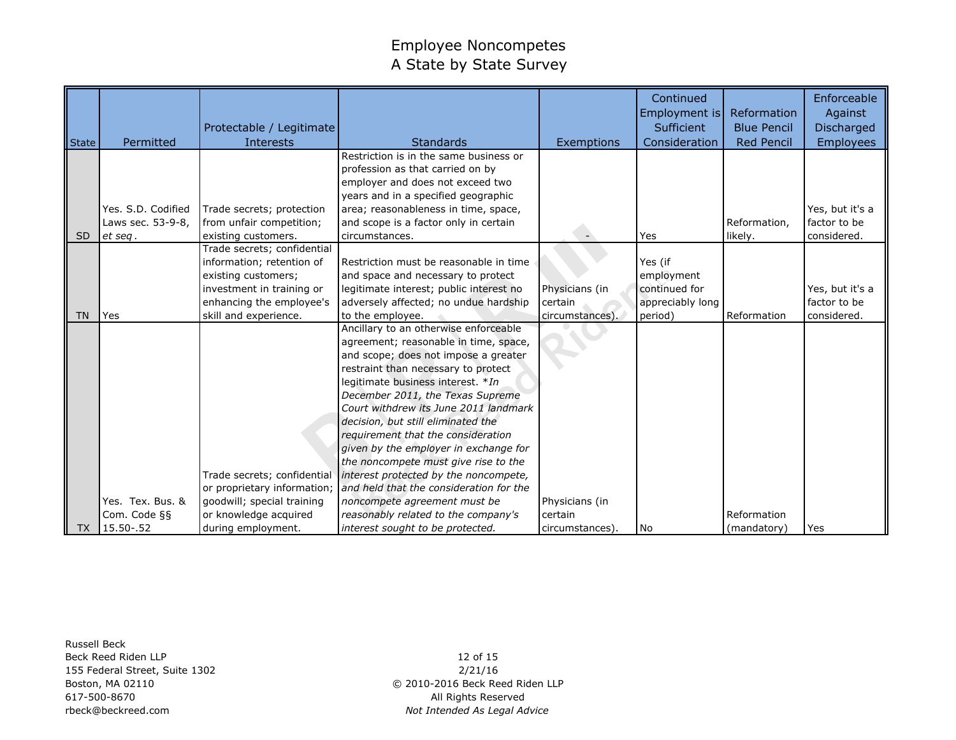|                 |                    |                             |                                         |                 | Continued<br>Employment is | Reformation        | Enforceable<br>Against |
|-----------------|--------------------|-----------------------------|-----------------------------------------|-----------------|----------------------------|--------------------|------------------------|
|                 |                    | Protectable / Legitimate    |                                         |                 | Sufficient                 | <b>Blue Pencil</b> | <b>Discharged</b>      |
| State           | Permitted          | <b>Interests</b>            | <b>Standards</b>                        | Exemptions      | Consideration              | <b>Red Pencil</b>  | <b>Employees</b>       |
|                 |                    |                             | Restriction is in the same business or  |                 |                            |                    |                        |
|                 |                    |                             | profession as that carried on by        |                 |                            |                    |                        |
|                 |                    |                             | employer and does not exceed two        |                 |                            |                    |                        |
|                 |                    |                             | years and in a specified geographic     |                 |                            |                    |                        |
|                 | Yes. S.D. Codified | Trade secrets; protection   | area; reasonableness in time, space,    |                 |                            |                    | Yes, but it's a        |
|                 | Laws sec. 53-9-8,  | from unfair competition;    | and scope is a factor only in certain   |                 |                            | Reformation,       | factor to be           |
| SD <sub>1</sub> | et seq.            | existing customers.         | circumstances.                          |                 | Yes                        | likely.            | considered.            |
|                 |                    | Trade secrets; confidential |                                         |                 |                            |                    |                        |
|                 |                    | information; retention of   | Restriction must be reasonable in time  |                 | Yes (if                    |                    |                        |
|                 |                    | existing customers;         | and space and necessary to protect      |                 | employment                 |                    |                        |
|                 |                    | investment in training or   | legitimate interest; public interest no | Physicians (in  | continued for              |                    | Yes, but it's a        |
|                 |                    | enhancing the employee's    | adversely affected; no undue hardship   | certain         | appreciably long           |                    | factor to be           |
| <b>TN</b>       | Yes                | skill and experience.       | to the employee.                        | circumstances). | period)                    | Reformation        | considered.            |
|                 |                    |                             | Ancillary to an otherwise enforceable   |                 |                            |                    |                        |
|                 |                    |                             | agreement; reasonable in time, space,   |                 |                            |                    |                        |
|                 |                    |                             | and scope; does not impose a greater    |                 |                            |                    |                        |
|                 |                    |                             | restraint than necessary to protect     |                 |                            |                    |                        |
|                 |                    |                             | legitimate business interest. *In       |                 |                            |                    |                        |
|                 |                    |                             | December 2011, the Texas Supreme        |                 |                            |                    |                        |
|                 |                    |                             | Court withdrew its June 2011 landmark   |                 |                            |                    |                        |
|                 |                    |                             | decision, but still eliminated the      |                 |                            |                    |                        |
|                 |                    |                             | requirement that the consideration      |                 |                            |                    |                        |
|                 |                    |                             | given by the employer in exchange for   |                 |                            |                    |                        |
|                 |                    |                             | the noncompete must give rise to the    |                 |                            |                    |                        |
|                 |                    | Trade secrets; confidential | interest protected by the noncompete,   |                 |                            |                    |                        |
|                 |                    | or proprietary information; | and held that the consideration for the |                 |                            |                    |                        |
|                 | Yes. Tex. Bus. &   | goodwill; special training  | noncompete agreement must be            | Physicians (in  |                            |                    |                        |
|                 | Com. Code §§       | or knowledge acquired       | reasonably related to the company's     | certain         |                            | Reformation        |                        |
| TX              | 15.50 - . 52       | during employment.          | interest sought to be protected.        | circumstances). | <b>No</b>                  | (mandatory)        | Yes                    |

Russell Beck Beck Reed Riden LLP 155 Federal Street, Suite 1302 Boston, MA 02110 617-500-8670 rbeck@beckreed.com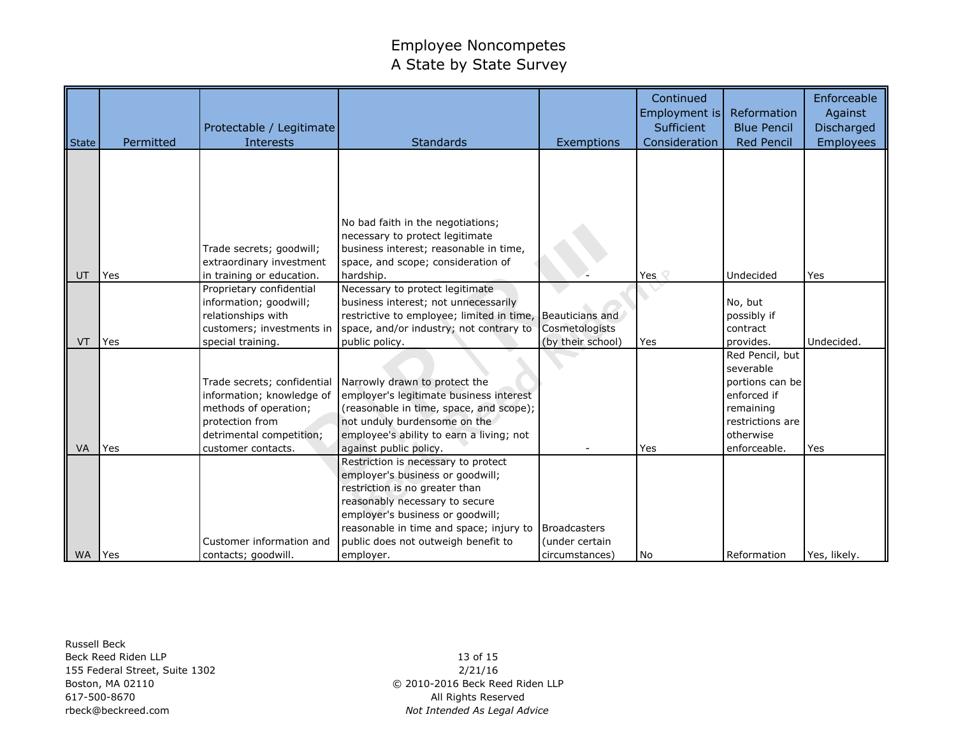| State     | Permitted    | Protectable / Legitimate<br><b>Interests</b>          | Standards                                                                          | Exemptions          | Continued<br>Employment is<br>Sufficient<br>Consideration | Reformation<br><b>Blue Pencil</b><br><b>Red Pencil</b> | Enforceable<br>Against<br>Discharged<br><b>Employees</b> |
|-----------|--------------|-------------------------------------------------------|------------------------------------------------------------------------------------|---------------------|-----------------------------------------------------------|--------------------------------------------------------|----------------------------------------------------------|
|           |              |                                                       |                                                                                    |                     |                                                           |                                                        |                                                          |
|           |              |                                                       |                                                                                    |                     |                                                           |                                                        |                                                          |
|           |              |                                                       | No bad faith in the negotiations;                                                  |                     |                                                           |                                                        |                                                          |
|           |              |                                                       | necessary to protect legitimate                                                    |                     |                                                           |                                                        |                                                          |
|           |              | Trade secrets; goodwill;                              | business interest; reasonable in time,                                             |                     |                                                           |                                                        |                                                          |
| UT        | Yes          | extraordinary investment<br>in training or education. | space, and scope; consideration of<br>hardship.                                    |                     | Yes $\heartsuit$                                          | Undecided                                              | Yes                                                      |
|           |              | Proprietary confidential                              | Necessary to protect legitimate                                                    |                     |                                                           |                                                        |                                                          |
|           |              | information; goodwill;                                | business interest; not unnecessarily                                               |                     |                                                           | No, but                                                |                                                          |
|           |              | relationships with                                    | restrictive to employee; limited in time, Beauticians and                          |                     |                                                           | possibly if                                            |                                                          |
|           |              | customers; investments in                             | space, and/or industry; not contrary to                                            | Cosmetologists      |                                                           | contract                                               |                                                          |
| VT        | Yes          | special training.                                     | public policy.                                                                     | (by their school)   | Yes                                                       | provides.                                              | Undecided.                                               |
|           |              |                                                       |                                                                                    |                     |                                                           | Red Pencil, but                                        |                                                          |
|           |              |                                                       |                                                                                    |                     |                                                           | severable                                              |                                                          |
|           |              | Trade secrets; confidential                           | Narrowly drawn to protect the                                                      |                     |                                                           | portions can be<br>enforced if                         |                                                          |
|           |              | information; knowledge of<br>methods of operation;    | employer's legitimate business interest<br>(reasonable in time, space, and scope); |                     |                                                           | remaining                                              |                                                          |
|           |              | protection from                                       | not unduly burdensome on the                                                       |                     |                                                           | restrictions are                                       |                                                          |
|           |              | detrimental competition;                              | employee's ability to earn a living; not                                           |                     |                                                           | otherwise                                              |                                                          |
| VA        | Yes          | customer contacts.                                    | against public policy.                                                             |                     | Yes                                                       | enforceable.                                           | Yes                                                      |
|           |              |                                                       | Restriction is necessary to protect                                                |                     |                                                           |                                                        |                                                          |
|           |              |                                                       | employer's business or goodwill;                                                   |                     |                                                           |                                                        |                                                          |
|           |              |                                                       | restriction is no greater than                                                     |                     |                                                           |                                                        |                                                          |
|           |              |                                                       | reasonably necessary to secure                                                     |                     |                                                           |                                                        |                                                          |
|           |              |                                                       | employer's business or goodwill;<br>reasonable in time and space; injury to        | <b>Broadcasters</b> |                                                           |                                                        |                                                          |
|           |              | Customer information and                              | public does not outweigh benefit to                                                | (under certain      |                                                           |                                                        |                                                          |
| <b>WA</b> | <b>l</b> Yes | contacts; goodwill.                                   | employer.                                                                          | circumstances)      | l No                                                      | Reformation                                            | Yes, likely.                                             |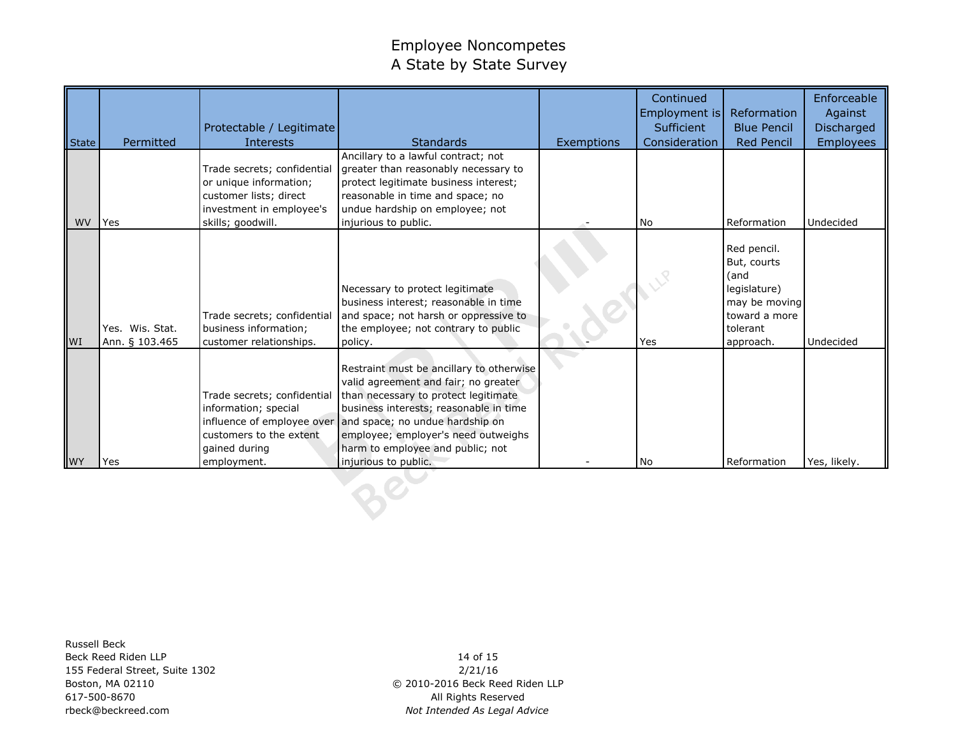|            |                                   | Protectable / Legitimate                                                                                       |                                                                                                                                                                                                                                                                                                                                     |            | Continued<br>Employment is<br><b>Sufficient</b> | Reformation<br><b>Blue Pencil</b>                                                                             | Enforceable<br>Against<br>Discharged |
|------------|-----------------------------------|----------------------------------------------------------------------------------------------------------------|-------------------------------------------------------------------------------------------------------------------------------------------------------------------------------------------------------------------------------------------------------------------------------------------------------------------------------------|------------|-------------------------------------------------|---------------------------------------------------------------------------------------------------------------|--------------------------------------|
| State      | Permitted                         | <b>Interests</b>                                                                                               | <b>Standards</b>                                                                                                                                                                                                                                                                                                                    | Exemptions | Consideration                                   | <b>Red Pencil</b>                                                                                             | <b>Employees</b>                     |
| <b>WV</b>  |                                   | Trade secrets; confidential<br>or unique information;<br>customer lists; direct<br>investment in employee's    | Ancillary to a lawful contract; not<br>greater than reasonably necessary to<br>protect legitimate business interest;<br>reasonable in time and space; no<br>undue hardship on employee; not                                                                                                                                         |            | <b>No</b>                                       | Reformation                                                                                                   | Undecided                            |
|            | Yes                               | skills; goodwill.                                                                                              | injurious to public.                                                                                                                                                                                                                                                                                                                |            |                                                 |                                                                                                               |                                      |
| <b>IWI</b> | Yes. Wis. Stat.<br>Ann. § 103.465 | Trade secrets; confidential<br>business information;<br>customer relationships.                                | Necessary to protect legitimate<br>business interest; reasonable in time<br>and space; not harsh or oppressive to<br>the employee; not contrary to public<br>policy.                                                                                                                                                                |            | Yes                                             | Red pencil.<br>But, courts<br>(and<br>legislature)<br>may be moving<br>toward a more<br>tolerant<br>approach. | Undecided                            |
| <b>WY</b>  | Yes                               | Trade secrets; confidential<br>information; special<br>customers to the extent<br>gained during<br>employment. | Restraint must be ancillary to otherwise<br>valid agreement and fair; no greater<br>than necessary to protect legitimate<br>business interests; reasonable in time<br>influence of employee over and space; no undue hardship on<br>employee; employer's need outweighs<br>harm to employee and public; not<br>injurious to public. |            | <b>No</b>                                       | Reformation                                                                                                   | Yes, likely.                         |

Russell Beck Beck Reed Riden LLP 155 Federal Street, Suite 1302 Boston, MA 02110 617-500-8670 rbeck@beckreed.com